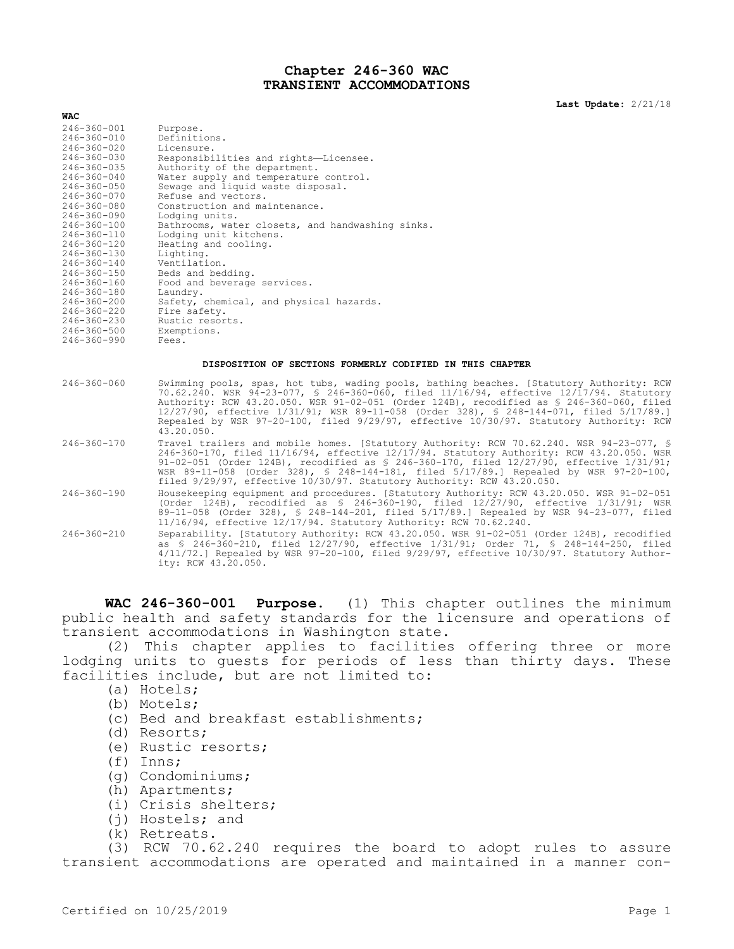## **Chapter 246-360 WAC TRANSIENT ACCOMMODATIONS**

**Last Update:** 2/21/18

| WAC                        |                                                                                                                                                                                                                                                                                                                                                                                                                                                                                   |  |  |  |
|----------------------------|-----------------------------------------------------------------------------------------------------------------------------------------------------------------------------------------------------------------------------------------------------------------------------------------------------------------------------------------------------------------------------------------------------------------------------------------------------------------------------------|--|--|--|
| $246 - 360 - 001$          | Purpose.                                                                                                                                                                                                                                                                                                                                                                                                                                                                          |  |  |  |
| 246-360-010                | Definitions.                                                                                                                                                                                                                                                                                                                                                                                                                                                                      |  |  |  |
| 246-360-020                | Licensure.                                                                                                                                                                                                                                                                                                                                                                                                                                                                        |  |  |  |
| 246-360-030                | Responsibilities and rights-Licensee.                                                                                                                                                                                                                                                                                                                                                                                                                                             |  |  |  |
| 246-360-035                | Authority of the department.                                                                                                                                                                                                                                                                                                                                                                                                                                                      |  |  |  |
| 246-360-040                | Water supply and temperature control.                                                                                                                                                                                                                                                                                                                                                                                                                                             |  |  |  |
| 246-360-050                | Sewage and liquid waste disposal.                                                                                                                                                                                                                                                                                                                                                                                                                                                 |  |  |  |
| 246-360-070                | Refuse and vectors.                                                                                                                                                                                                                                                                                                                                                                                                                                                               |  |  |  |
| 246-360-080                | Construction and maintenance.                                                                                                                                                                                                                                                                                                                                                                                                                                                     |  |  |  |
| 246-360-090                | Lodging units.                                                                                                                                                                                                                                                                                                                                                                                                                                                                    |  |  |  |
| 246-360-100                | Bathrooms, water closets, and handwashing sinks.                                                                                                                                                                                                                                                                                                                                                                                                                                  |  |  |  |
| 246-360-110                | Lodging unit kitchens.                                                                                                                                                                                                                                                                                                                                                                                                                                                            |  |  |  |
| 246-360-120                | Heating and cooling.                                                                                                                                                                                                                                                                                                                                                                                                                                                              |  |  |  |
| 246-360-130                | Lighting.                                                                                                                                                                                                                                                                                                                                                                                                                                                                         |  |  |  |
| 246-360-140                | Ventilation.                                                                                                                                                                                                                                                                                                                                                                                                                                                                      |  |  |  |
| 246-360-150                | Beds and bedding.                                                                                                                                                                                                                                                                                                                                                                                                                                                                 |  |  |  |
| 246-360-160                | Food and beverage services.                                                                                                                                                                                                                                                                                                                                                                                                                                                       |  |  |  |
| 246-360-180                | Laundry.                                                                                                                                                                                                                                                                                                                                                                                                                                                                          |  |  |  |
| 246-360-200                | Safety, chemical, and physical hazards.                                                                                                                                                                                                                                                                                                                                                                                                                                           |  |  |  |
| 246-360-220                | Fire safety.                                                                                                                                                                                                                                                                                                                                                                                                                                                                      |  |  |  |
| 246-360-230                | Rustic resorts.                                                                                                                                                                                                                                                                                                                                                                                                                                                                   |  |  |  |
| 246-360-500<br>246-360-990 | Exemptions.<br>Fees.                                                                                                                                                                                                                                                                                                                                                                                                                                                              |  |  |  |
|                            |                                                                                                                                                                                                                                                                                                                                                                                                                                                                                   |  |  |  |
|                            | DISPOSITION OF SECTIONS FORMERLY CODIFIED IN THIS CHAPTER                                                                                                                                                                                                                                                                                                                                                                                                                         |  |  |  |
| 246-360-060                | Swimming pools, spas, hot tubs, wading pools, bathing beaches. [Statutory Authority: RCW<br>70.62.240. WSR 94-23-077, § 246-360-060, filed 11/16/94, effective 12/17/94. Statutory<br>Authority: RCW 43.20.050. WSR 91-02-051 (Order 124B), recodified as \$ 246-360-060, filed<br>12/27/90, effective 1/31/91; WSR 89-11-058 (Order 328), § 248-144-071, filed 5/17/89.1<br>Repealed by WSR 97-20-100, filed 9/29/97, effective 10/30/97. Statutory Authority: RCW<br>43.20.050. |  |  |  |
| 246-360-170                | Travel trailers and mobile homes. [Statutory Authority: RCW 70.62.240. WSR 94-23-077, \$<br>246-360-170, filed 11/16/94, effective 12/17/94. Statutory Authority: RCW 43.20.050. WSR<br>91-02-051 (Order 124B), recodified as $$ 246-360-170$ , filed $12/27/90$ , effective $1/31/91$ ;<br>WSR 89-11-058 (Order 328), § 248-144-181, filed 5/17/89.] Repealed by WSR 97-20-100,<br>filed 9/29/97, effective 10/30/97. Statutory Authority: RCW 43.20.050.                        |  |  |  |
| 246-360-190                | Housekeeping equipment and procedures. [Statutory Authority: RCW 43.20.050. WSR 91-02-051<br>(Order 124B), recodified as $\frac{1}{2}$ 246-360-190, filed 12/27/90, effective 1/31/91; WSR<br>89-11-058 (Order 328), \$ 248-144-201, filed 5/17/89.] Repealed by WSR 94-23-077, filed<br>11/16/94, effective 12/17/94. Statutory Authority: RCW 70.62.240.                                                                                                                        |  |  |  |
| 246-360-210                | Separability. [Statutory Authority: RCW 43.20.050. WSR 91-02-051 (Order 124B), recodified<br>as § 246-360-210, filed 12/27/90, effective 1/31/91; Order 71, § 248-144-250, filed                                                                                                                                                                                                                                                                                                  |  |  |  |

24B), recodified<br>-144-250, filed 4/11/72.] Repealed by WSR 97-20-100, filed 9/29/97, effective 10/30/97. Statutory Authority: RCW 43.20.050.

**WAC 246-360-001 Purpose.** (1) This chapter outlines the minimum public health and safety standards for the licensure and operations of transient accommodations in Washington state.

(2) This chapter applies to facilities offering three or more lodging units to guests for periods of less than thirty days. These facilities include, but are not limited to:

- (a) Hotels;
- (b) Motels;
- (c) Bed and breakfast establishments;
- (d) Resorts;
- (e) Rustic resorts;
- (f) Inns;
- (g) Condominiums;
- (h) Apartments;
- (i) Crisis shelters;
- (j) Hostels; and
- (k) Retreats.

(3) RCW 70.62.240 requires the board to adopt rules to assure transient accommodations are operated and maintained in a manner con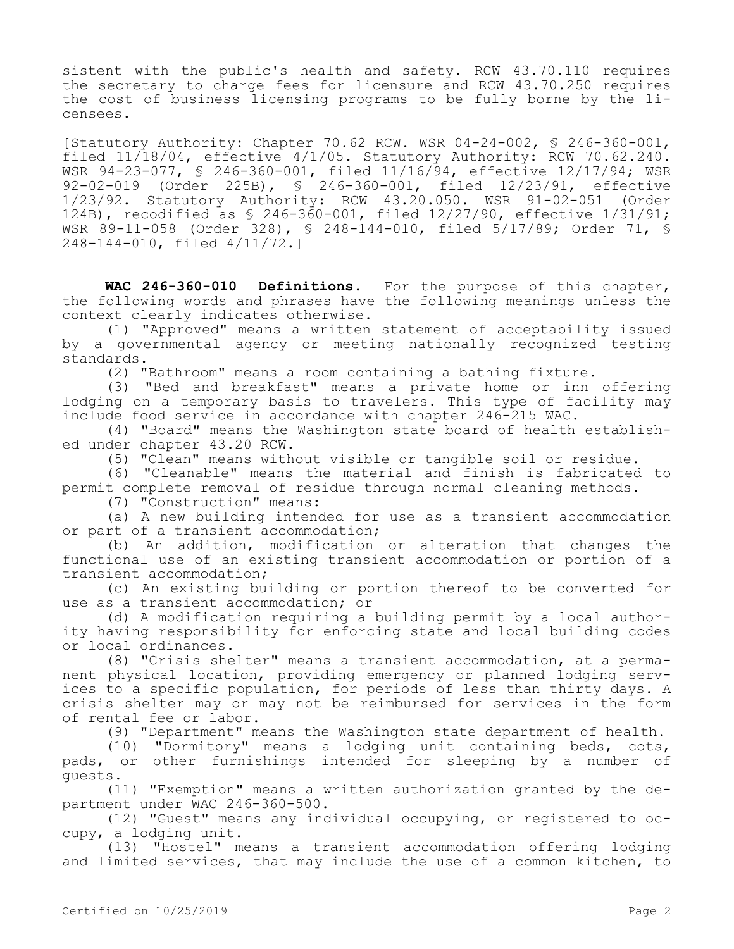sistent with the public's health and safety. RCW 43.70.110 requires the secretary to charge fees for licensure and RCW 43.70.250 requires the cost of business licensing programs to be fully borne by the licensees.

[Statutory Authority: Chapter 70.62 RCW. WSR 04-24-002, § 246-360-001, filed 11/18/04, effective 4/1/05. Statutory Authority: RCW 70.62.240. WSR 94-23-077, § 246-360-001, filed 11/16/94, effective 12/17/94; WSR 92-02-019 (Order 225B), § 246-360-001, filed 12/23/91, effective 1/23/92. Statutory Authority: RCW 43.20.050. WSR 91-02-051 (Order 124B), recodified as § 246-360-001, filed 12/27/90, effective 1/31/91; WSR 89-11-058 (Order 328), § 248-144-010, filed 5/17/89; Order 71, § 248-144-010, filed 4/11/72.]

**WAC 246-360-010 Definitions.** For the purpose of this chapter, the following words and phrases have the following meanings unless the context clearly indicates otherwise.

(1) "Approved" means a written statement of acceptability issued by a governmental agency or meeting nationally recognized testing standards.

(2) "Bathroom" means a room containing a bathing fixture.

(3) "Bed and breakfast" means a private home or inn offering lodging on a temporary basis to travelers. This type of facility may include food service in accordance with chapter 246-215 WAC.

(4) "Board" means the Washington state board of health established under chapter 43.20 RCW.

(5) "Clean" means without visible or tangible soil or residue.

(6) "Cleanable" means the material and finish is fabricated to permit complete removal of residue through normal cleaning methods.

(7) "Construction" means:

(a) A new building intended for use as a transient accommodation or part of a transient accommodation;

(b) An addition, modification or alteration that changes the functional use of an existing transient accommodation or portion of a transient accommodation;

(c) An existing building or portion thereof to be converted for use as a transient accommodation; or

(d) A modification requiring a building permit by a local authority having responsibility for enforcing state and local building codes or local ordinances.

(8) "Crisis shelter" means a transient accommodation, at a permanent physical location, providing emergency or planned lodging services to a specific population, for periods of less than thirty days. A crisis shelter may or may not be reimbursed for services in the form of rental fee or labor.

(9) "Department" means the Washington state department of health.

(10) "Dormitory" means a lodging unit containing beds, cots, pads, or other furnishings intended for sleeping by a number of guests.

(11) "Exemption" means a written authorization granted by the department under WAC 246-360-500.

(12) "Guest" means any individual occupying, or registered to occupy, a lodging unit.

(13) "Hostel" means a transient accommodation offering lodging and limited services, that may include the use of a common kitchen, to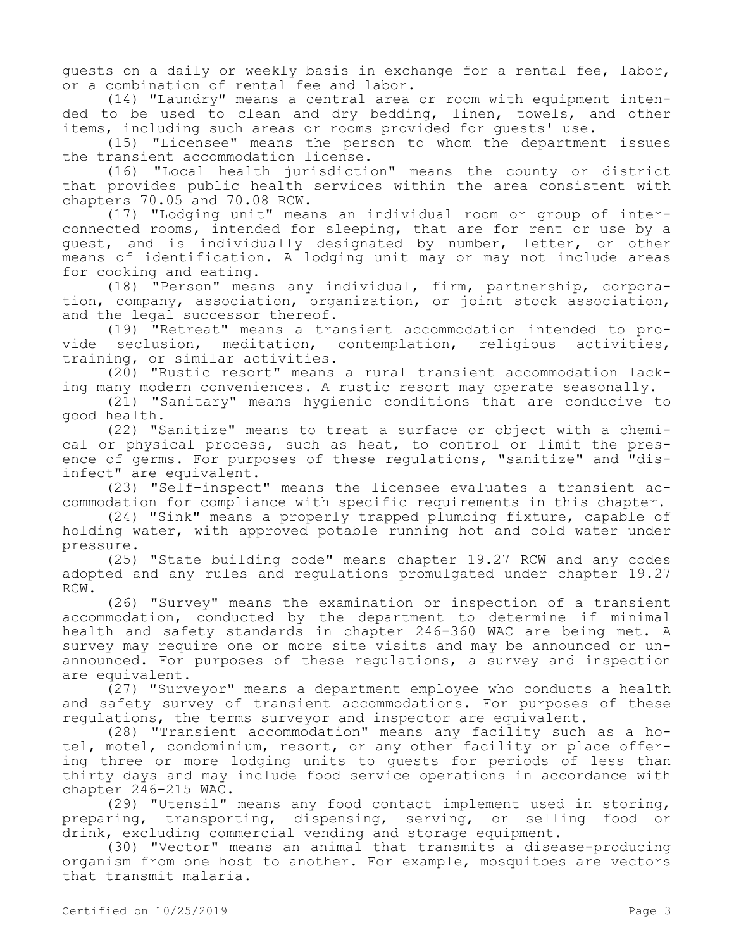guests on a daily or weekly basis in exchange for a rental fee, labor, or a combination of rental fee and labor.

(14) "Laundry" means a central area or room with equipment intended to be used to clean and dry bedding, linen, towels, and other items, including such areas or rooms provided for guests' use.

(15) "Licensee" means the person to whom the department issues the transient accommodation license.

(16) "Local health jurisdiction" means the county or district that provides public health services within the area consistent with chapters 70.05 and 70.08 RCW.

(17) "Lodging unit" means an individual room or group of interconnected rooms, intended for sleeping, that are for rent or use by a guest, and is individually designated by number, letter, or other means of identification. A lodging unit may or may not include areas for cooking and eating.

(18) "Person" means any individual, firm, partnership, corporation, company, association, organization, or joint stock association, and the legal successor thereof.

(19) "Retreat" means a transient accommodation intended to provide seclusion, meditation, contemplation, religious activities, training, or similar activities.

(20) "Rustic resort" means a rural transient accommodation lacking many modern conveniences. A rustic resort may operate seasonally.

(21) "Sanitary" means hygienic conditions that are conducive to good health.

(22) "Sanitize" means to treat a surface or object with a chemical or physical process, such as heat, to control or limit the presence of germs. For purposes of these regulations, "sanitize" and "disinfect" are equivalent.

(23) "Self-inspect" means the licensee evaluates a transient accommodation for compliance with specific requirements in this chapter.

(24) "Sink" means a properly trapped plumbing fixture, capable of holding water, with approved potable running hot and cold water under pressure.

(25) "State building code" means chapter 19.27 RCW and any codes adopted and any rules and regulations promulgated under chapter 19.27 RCW.

(26) "Survey" means the examination or inspection of a transient accommodation, conducted by the department to determine if minimal health and safety standards in chapter 246-360 WAC are being met. A survey may require one or more site visits and may be announced or unannounced. For purposes of these regulations, a survey and inspection are equivalent.

(27) "Surveyor" means a department employee who conducts a health and safety survey of transient accommodations. For purposes of these regulations, the terms surveyor and inspector are equivalent.

(28) "Transient accommodation" means any facility such as a hotel, motel, condominium, resort, or any other facility or place offering three or more lodging units to guests for periods of less than thirty days and may include food service operations in accordance with chapter 246-215 WAC.

(29) "Utensil" means any food contact implement used in storing, preparing, transporting, dispensing, serving, or selling food or drink, excluding commercial vending and storage equipment.

(30) "Vector" means an animal that transmits a disease-producing organism from one host to another. For example, mosquitoes are vectors that transmit malaria.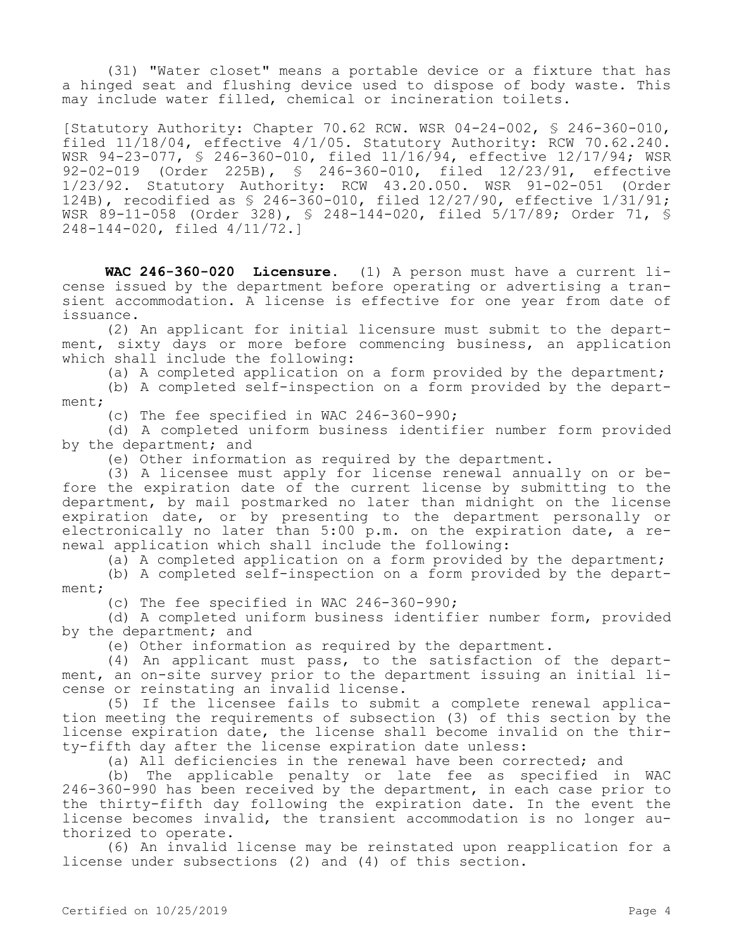(31) "Water closet" means a portable device or a fixture that has a hinged seat and flushing device used to dispose of body waste. This may include water filled, chemical or incineration toilets.

[Statutory Authority: Chapter 70.62 RCW. WSR 04-24-002, § 246-360-010, filed 11/18/04, effective 4/1/05. Statutory Authority: RCW 70.62.240. WSR 94-23-077, § 246-360-010, filed 11/16/94, effective 12/17/94; WSR 92-02-019 (Order 225B), § 246-360-010, filed 12/23/91, effective 1/23/92. Statutory Authority: RCW 43.20.050. WSR 91-02-051 (Order 124B), recodified as § 246-360-010, filed 12/27/90, effective 1/31/91; WSR 89-11-058 (Order 328), § 248-144-020, filed 5/17/89; Order 71, § 248-144-020, filed 4/11/72.]

**WAC 246-360-020 Licensure.** (1) A person must have a current license issued by the department before operating or advertising a transient accommodation. A license is effective for one year from date of issuance.

(2) An applicant for initial licensure must submit to the department, sixty days or more before commencing business, an application which shall include the following:

(a) A completed application on a form provided by the department;

(b) A completed self-inspection on a form provided by the department;

(c) The fee specified in WAC 246-360-990;

(d) A completed uniform business identifier number form provided by the department; and

(e) Other information as required by the department.

(3) A licensee must apply for license renewal annually on or before the expiration date of the current license by submitting to the department, by mail postmarked no later than midnight on the license expiration date, or by presenting to the department personally or electronically no later than 5:00 p.m. on the expiration date, a renewal application which shall include the following:

(a) A completed application on a form provided by the department;

(b) A completed self-inspection on a form provided by the department;

(c) The fee specified in WAC 246-360-990;

(d) A completed uniform business identifier number form, provided by the department; and

(e) Other information as required by the department.

(4) An applicant must pass, to the satisfaction of the department, an on-site survey prior to the department issuing an initial license or reinstating an invalid license.

(5) If the licensee fails to submit a complete renewal application meeting the requirements of subsection (3) of this section by the license expiration date, the license shall become invalid on the thirty-fifth day after the license expiration date unless:

(a) All deficiencies in the renewal have been corrected; and

(b) The applicable penalty or late fee as specified in WAC 246-360-990 has been received by the department, in each case prior to the thirty-fifth day following the expiration date. In the event the license becomes invalid, the transient accommodation is no longer authorized to operate.

(6) An invalid license may be reinstated upon reapplication for a license under subsections (2) and (4) of this section.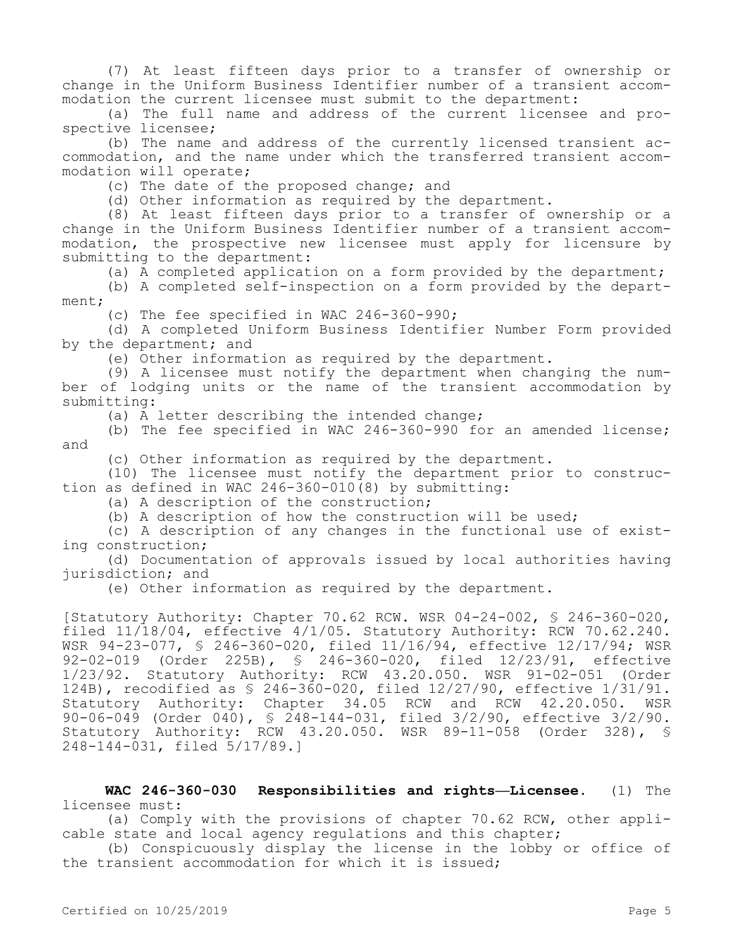(7) At least fifteen days prior to a transfer of ownership or change in the Uniform Business Identifier number of a transient accommodation the current licensee must submit to the department:

(a) The full name and address of the current licensee and prospective licensee;

(b) The name and address of the currently licensed transient accommodation, and the name under which the transferred transient accommodation will operate;

(c) The date of the proposed change; and

(d) Other information as required by the department.

(8) At least fifteen days prior to a transfer of ownership or a change in the Uniform Business Identifier number of a transient accommodation, the prospective new licensee must apply for licensure by submitting to the department:

(a) A completed application on a form provided by the department;

(b) A completed self-inspection on a form provided by the department;

(c) The fee specified in WAC 246-360-990;

(d) A completed Uniform Business Identifier Number Form provided by the department; and

(e) Other information as required by the department.

(9) A licensee must notify the department when changing the number of lodging units or the name of the transient accommodation by submitting:

(a) A letter describing the intended change;

(b) The fee specified in WAC 246-360-990 for an amended license; and

(c) Other information as required by the department.

(10) The licensee must notify the department prior to construction as defined in WAC 246-360-010(8) by submitting:

(a) A description of the construction;

(b) A description of how the construction will be used;

(c) A description of any changes in the functional use of existing construction;

(d) Documentation of approvals issued by local authorities having jurisdiction; and

(e) Other information as required by the department.

[Statutory Authority: Chapter 70.62 RCW. WSR 04-24-002, § 246-360-020, filed 11/18/04, effective 4/1/05. Statutory Authority: RCW 70.62.240. WSR 94-23-077, § 246-360-020, filed 11/16/94, effective 12/17/94; WSR 92-02-019 (Order 225B), § 246-360-020, filed 12/23/91, effective 1/23/92. Statutory Authority: RCW 43.20.050. WSR 91-02-051 (Order 124B), recodified as § 246-360-020, filed 12/27/90, effective 1/31/91. Statutory Authority: Chapter 34.05 RCW and RCW 42.20.050. WSR 90-06-049 (Order 040), § 248-144-031, filed 3/2/90, effective 3/2/90. Statutory Authority: RCW 43.20.050. WSR 89-11-058 (Order 328), § 248-144-031, filed 5/17/89.]

## **WAC 246-360-030 Responsibilities and rights—Licensee.** (1) The licensee must:

(a) Comply with the provisions of chapter 70.62 RCW, other applicable state and local agency regulations and this chapter;

(b) Conspicuously display the license in the lobby or office of the transient accommodation for which it is issued;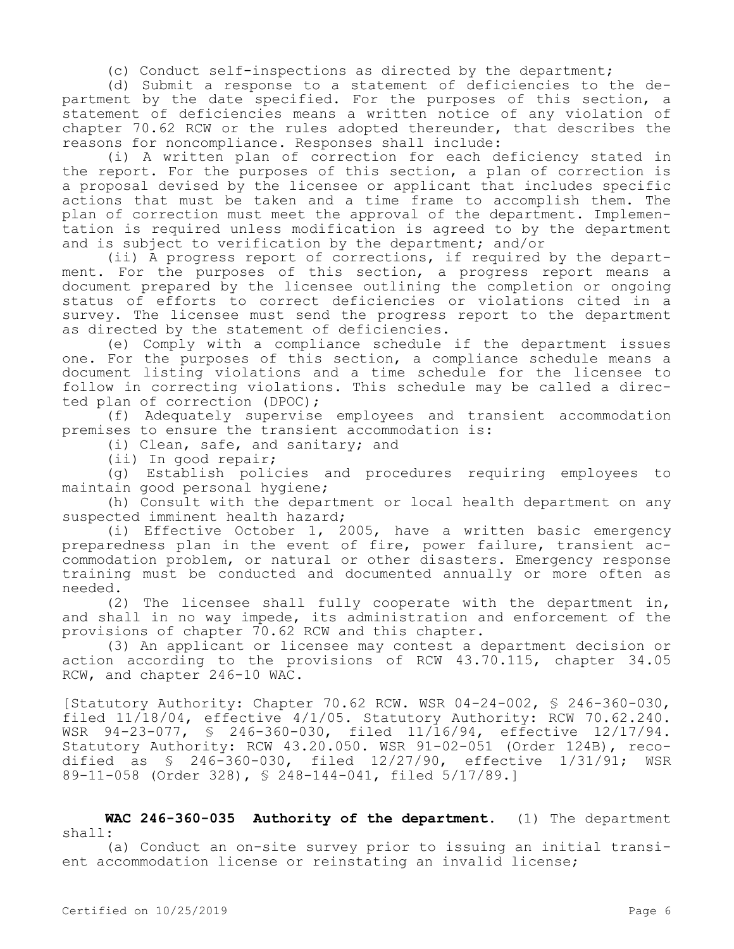(c) Conduct self-inspections as directed by the department;

(d) Submit a response to a statement of deficiencies to the department by the date specified. For the purposes of this section, a statement of deficiencies means a written notice of any violation of chapter 70.62 RCW or the rules adopted thereunder, that describes the reasons for noncompliance. Responses shall include:

(i) A written plan of correction for each deficiency stated in the report. For the purposes of this section, a plan of correction is a proposal devised by the licensee or applicant that includes specific actions that must be taken and a time frame to accomplish them. The plan of correction must meet the approval of the department. Implementation is required unless modification is agreed to by the department and is subject to verification by the department; and/or

(ii) A progress report of corrections, if required by the department. For the purposes of this section, a progress report means a document prepared by the licensee outlining the completion or ongoing status of efforts to correct deficiencies or violations cited in a survey. The licensee must send the progress report to the department as directed by the statement of deficiencies.

(e) Comply with a compliance schedule if the department issues one. For the purposes of this section, a compliance schedule means a document listing violations and a time schedule for the licensee to follow in correcting violations. This schedule may be called a directed plan of correction (DPOC);

(f) Adequately supervise employees and transient accommodation premises to ensure the transient accommodation is:

(i) Clean, safe, and sanitary; and

(ii) In good repair;

(g) Establish policies and procedures requiring employees to maintain good personal hygiene;

(h) Consult with the department or local health department on any suspected imminent health hazard;

(i) Effective October 1, 2005, have a written basic emergency preparedness plan in the event of fire, power failure, transient accommodation problem, or natural or other disasters. Emergency response training must be conducted and documented annually or more often as needed.

(2) The licensee shall fully cooperate with the department in, and shall in no way impede, its administration and enforcement of the provisions of chapter 70.62 RCW and this chapter.

(3) An applicant or licensee may contest a department decision or action according to the provisions of RCW 43.70.115, chapter 34.05 RCW, and chapter 246-10 WAC.

[Statutory Authority: Chapter 70.62 RCW. WSR 04-24-002, § 246-360-030, filed 11/18/04, effective 4/1/05. Statutory Authority: RCW 70.62.240. WSR 94-23-077, § 246-360-030, filed 11/16/94, effective 12/17/94. Statutory Authority: RCW 43.20.050. WSR 91-02-051 (Order 124B), recodified as § 246-360-030, filed 12/27/90, effective 1/31/91; WSR 89-11-058 (Order 328), § 248-144-041, filed 5/17/89.]

**WAC 246-360-035 Authority of the department.** (1) The department shall:

(a) Conduct an on-site survey prior to issuing an initial transient accommodation license or reinstating an invalid license;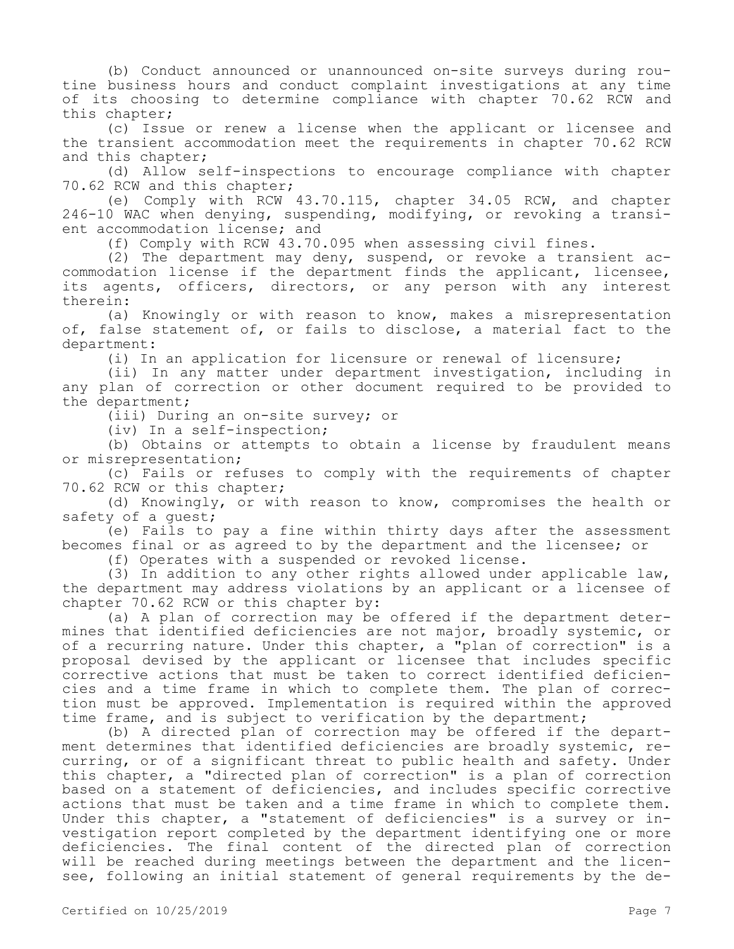(b) Conduct announced or unannounced on-site surveys during routine business hours and conduct complaint investigations at any time of its choosing to determine compliance with chapter 70.62 RCW and this chapter;

(c) Issue or renew a license when the applicant or licensee and the transient accommodation meet the requirements in chapter 70.62 RCW and this chapter;

(d) Allow self-inspections to encourage compliance with chapter 70.62 RCW and this chapter;

(e) Comply with RCW 43.70.115, chapter 34.05 RCW, and chapter 246-10 WAC when denying, suspending, modifying, or revoking a transient accommodation license; and

(f) Comply with RCW 43.70.095 when assessing civil fines.

(2) The department may deny, suspend, or revoke a transient accommodation license if the department finds the applicant, licensee, its agents, officers, directors, or any person with any interest therein:

(a) Knowingly or with reason to know, makes a misrepresentation of, false statement of, or fails to disclose, a material fact to the department:

(i) In an application for licensure or renewal of licensure;

(ii) In any matter under department investigation, including in any plan of correction or other document required to be provided to the department;

(iii) During an on-site survey; or

(iv) In a self-inspection;

(b) Obtains or attempts to obtain a license by fraudulent means or misrepresentation;

(c) Fails or refuses to comply with the requirements of chapter 70.62 RCW or this chapter;

(d) Knowingly, or with reason to know, compromises the health or safety of a quest;

(e) Fails to pay a fine within thirty days after the assessment becomes final or as agreed to by the department and the licensee; or

(f) Operates with a suspended or revoked license.

(3) In addition to any other rights allowed under applicable law, the department may address violations by an applicant or a licensee of chapter 70.62 RCW or this chapter by:

(a) A plan of correction may be offered if the department determines that identified deficiencies are not major, broadly systemic, or of a recurring nature. Under this chapter, a "plan of correction" is a proposal devised by the applicant or licensee that includes specific corrective actions that must be taken to correct identified deficiencies and a time frame in which to complete them. The plan of correction must be approved. Implementation is required within the approved time frame, and is subject to verification by the department;

(b) A directed plan of correction may be offered if the department determines that identified deficiencies are broadly systemic, recurring, or of a significant threat to public health and safety. Under this chapter, a "directed plan of correction" is a plan of correction based on a statement of deficiencies, and includes specific corrective actions that must be taken and a time frame in which to complete them. Under this chapter, a "statement of deficiencies" is a survey or investigation report completed by the department identifying one or more deficiencies. The final content of the directed plan of correction will be reached during meetings between the department and the licensee, following an initial statement of general requirements by the de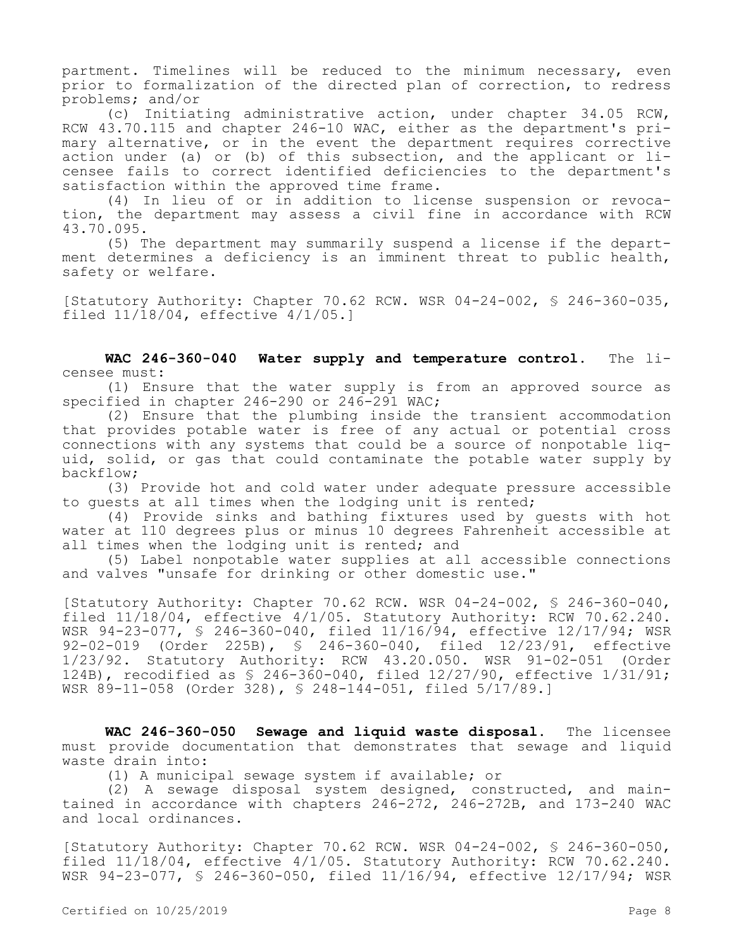partment. Timelines will be reduced to the minimum necessary, even prior to formalization of the directed plan of correction, to redress problems; and/or

(c) Initiating administrative action, under chapter 34.05 RCW, RCW 43.70.115 and chapter 246-10 WAC, either as the department's primary alternative, or in the event the department requires corrective action under (a) or (b) of this subsection, and the applicant or licensee fails to correct identified deficiencies to the department's satisfaction within the approved time frame.

(4) In lieu of or in addition to license suspension or revocation, the department may assess a civil fine in accordance with RCW 43.70.095.

(5) The department may summarily suspend a license if the department determines a deficiency is an imminent threat to public health, safety or welfare.

[Statutory Authority: Chapter 70.62 RCW. WSR 04-24-002, § 246-360-035, filed 11/18/04, effective 4/1/05.]

**WAC 246-360-040 Water supply and temperature control.** The licensee must:

(1) Ensure that the water supply is from an approved source as specified in chapter 246-290 or 246-291 WAC;

(2) Ensure that the plumbing inside the transient accommodation that provides potable water is free of any actual or potential cross connections with any systems that could be a source of nonpotable liquid, solid, or gas that could contaminate the potable water supply by backflow;

(3) Provide hot and cold water under adequate pressure accessible to guests at all times when the lodging unit is rented;

(4) Provide sinks and bathing fixtures used by guests with hot water at 110 degrees plus or minus 10 degrees Fahrenheit accessible at all times when the lodging unit is rented; and

(5) Label nonpotable water supplies at all accessible connections and valves "unsafe for drinking or other domestic use."

[Statutory Authority: Chapter 70.62 RCW. WSR 04-24-002, § 246-360-040, filed 11/18/04, effective 4/1/05. Statutory Authority: RCW 70.62.240. WSR 94-23-077, § 246-360-040, filed 11/16/94, effective 12/17/94; WSR 92-02-019 (Order 225B), § 246-360-040, filed 12/23/91, effective 1/23/92. Statutory Authority: RCW 43.20.050. WSR 91-02-051 (Order 124B), recodified as § 246-360-040, filed 12/27/90, effective 1/31/91; WSR 89-11-058 (Order 328), § 248-144-051, filed 5/17/89.]

**WAC 246-360-050 Sewage and liquid waste disposal.** The licensee must provide documentation that demonstrates that sewage and liquid waste drain into:

(1) A municipal sewage system if available; or

(2) A sewage disposal system designed, constructed, and maintained in accordance with chapters 246-272, 246-272B, and 173-240 WAC and local ordinances.

[Statutory Authority: Chapter 70.62 RCW. WSR 04-24-002, § 246-360-050, filed 11/18/04, effective 4/1/05. Statutory Authority: RCW 70.62.240. WSR 94-23-077, § 246-360-050, filed 11/16/94, effective 12/17/94; WSR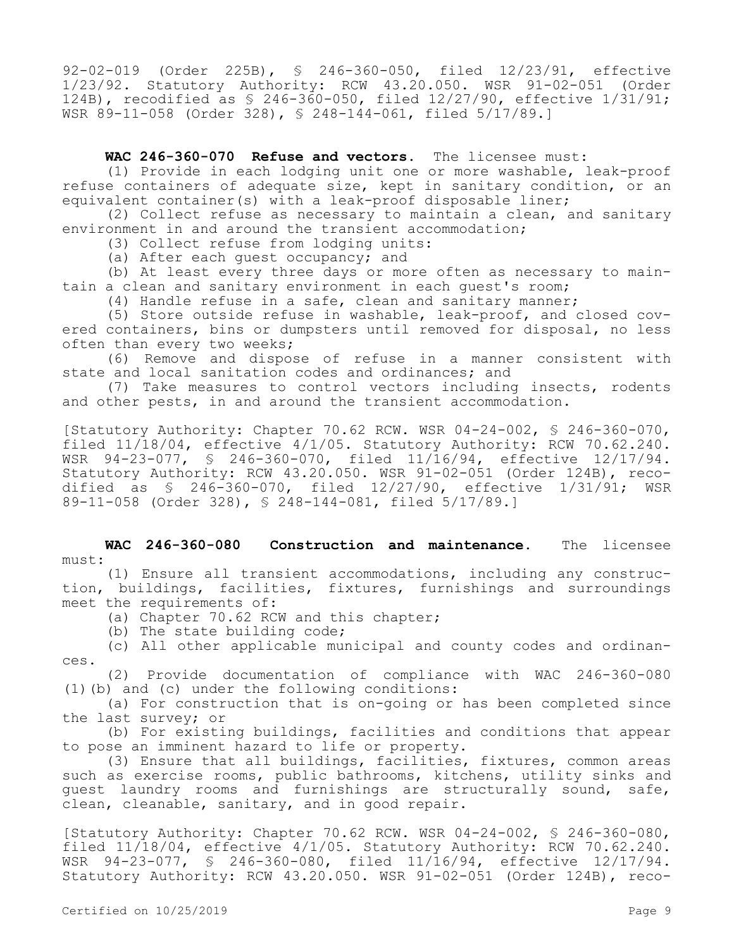92-02-019 (Order 225B), § 246-360-050, filed 12/23/91, effective 1/23/92. Statutory Authority: RCW 43.20.050. WSR 91-02-051 (Order 124B), recodified as § 246-360-050, filed 12/27/90, effective 1/31/91; WSR 89-11-058 (Order 328), § 248-144-061, filed 5/17/89.]

**WAC 246-360-070 Refuse and vectors.** The licensee must:

(1) Provide in each lodging unit one or more washable, leak-proof refuse containers of adequate size, kept in sanitary condition, or an equivalent container(s) with a leak-proof disposable liner;

(2) Collect refuse as necessary to maintain a clean, and sanitary environment in and around the transient accommodation;

(3) Collect refuse from lodging units:

(a) After each guest occupancy; and

(b) At least every three days or more often as necessary to maintain a clean and sanitary environment in each guest's room;

(4) Handle refuse in a safe, clean and sanitary manner;

(5) Store outside refuse in washable, leak-proof, and closed covered containers, bins or dumpsters until removed for disposal, no less often than every two weeks;

(6) Remove and dispose of refuse in a manner consistent with state and local sanitation codes and ordinances; and

(7) Take measures to control vectors including insects, rodents and other pests, in and around the transient accommodation.

[Statutory Authority: Chapter 70.62 RCW. WSR 04-24-002, § 246-360-070, filed 11/18/04, effective 4/1/05. Statutory Authority: RCW 70.62.240. WSR 94-23-077, § 246-360-070, filed 11/16/94, effective 12/17/94. Statutory Authority: RCW 43.20.050. WSR 91-02-051 (Order 124B), recodified as § 246-360-070, filed 12/27/90, effective 1/31/91; WSR 89-11-058 (Order 328), § 248-144-081, filed 5/17/89.]

**WAC 246-360-080 Construction and maintenance.** The licensee must:

(1) Ensure all transient accommodations, including any construction, buildings, facilities, fixtures, furnishings and surroundings meet the requirements of:

(a) Chapter 70.62 RCW and this chapter;

(b) The state building code;

(c) All other applicable municipal and county codes and ordinances.

(2) Provide documentation of compliance with WAC 246-360-080 (1)(b) and (c) under the following conditions:

(a) For construction that is on-going or has been completed since the last survey; or

(b) For existing buildings, facilities and conditions that appear to pose an imminent hazard to life or property.

(3) Ensure that all buildings, facilities, fixtures, common areas such as exercise rooms, public bathrooms, kitchens, utility sinks and guest laundry rooms and furnishings are structurally sound, safe, clean, cleanable, sanitary, and in good repair.

[Statutory Authority: Chapter 70.62 RCW. WSR 04-24-002, § 246-360-080, filed 11/18/04, effective 4/1/05. Statutory Authority: RCW 70.62.240. WSR 94-23-077, § 246-360-080, filed 11/16/94, effective 12/17/94. Statutory Authority: RCW 43.20.050. WSR 91-02-051 (Order 124B), reco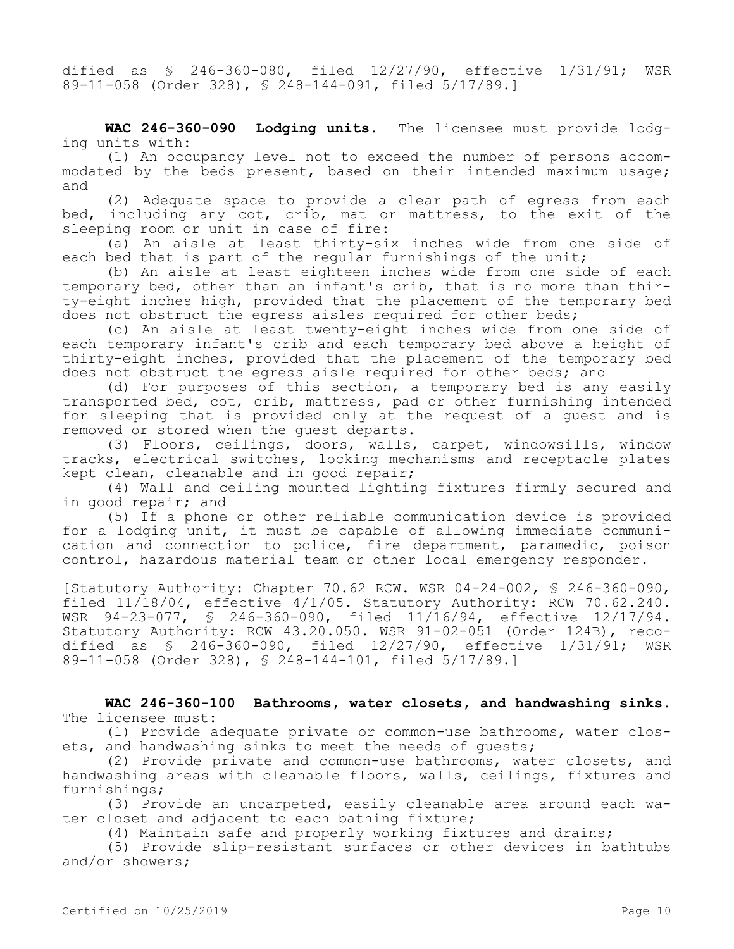dified as § 246-360-080, filed 12/27/90, effective 1/31/91; WSR 89-11-058 (Order 328), § 248-144-091, filed 5/17/89.]

**WAC 246-360-090 Lodging units.** The licensee must provide lodging units with:

(1) An occupancy level not to exceed the number of persons accommodated by the beds present, based on their intended maximum usage; and

(2) Adequate space to provide a clear path of egress from each bed, including any cot, crib, mat or mattress, to the exit of the sleeping room or unit in case of fire:

(a) An aisle at least thirty-six inches wide from one side of each bed that is part of the regular furnishings of the unit;

(b) An aisle at least eighteen inches wide from one side of each temporary bed, other than an infant's crib, that is no more than thirty-eight inches high, provided that the placement of the temporary bed does not obstruct the egress aisles required for other beds;

(c) An aisle at least twenty-eight inches wide from one side of each temporary infant's crib and each temporary bed above a height of thirty-eight inches, provided that the placement of the temporary bed does not obstruct the egress aisle required for other beds; and

(d) For purposes of this section, a temporary bed is any easily transported bed, cot, crib, mattress, pad or other furnishing intended for sleeping that is provided only at the request of a guest and is removed or stored when the guest departs.

(3) Floors, ceilings, doors, walls, carpet, windowsills, window tracks, electrical switches, locking mechanisms and receptacle plates kept clean, cleanable and in good repair;

(4) Wall and ceiling mounted lighting fixtures firmly secured and in good repair; and

(5) If a phone or other reliable communication device is provided for a lodging unit, it must be capable of allowing immediate communication and connection to police, fire department, paramedic, poison control, hazardous material team or other local emergency responder.

[Statutory Authority: Chapter 70.62 RCW. WSR 04-24-002, § 246-360-090, filed 11/18/04, effective 4/1/05. Statutory Authority: RCW 70.62.240. WSR 94-23-077, § 246-360-090, filed 11/16/94, effective 12/17/94. Statutory Authority: RCW 43.20.050. WSR 91-02-051 (Order 124B), recodified as § 246-360-090, filed 12/27/90, effective 1/31/91; WSR 89-11-058 (Order 328), § 248-144-101, filed 5/17/89.]

**WAC 246-360-100 Bathrooms, water closets, and handwashing sinks.**  The licensee must:

(1) Provide adequate private or common-use bathrooms, water closets, and handwashing sinks to meet the needs of guests;

(2) Provide private and common-use bathrooms, water closets, and handwashing areas with cleanable floors, walls, ceilings, fixtures and furnishings;

(3) Provide an uncarpeted, easily cleanable area around each water closet and adjacent to each bathing fixture;

(4) Maintain safe and properly working fixtures and drains;

(5) Provide slip-resistant surfaces or other devices in bathtubs and/or showers;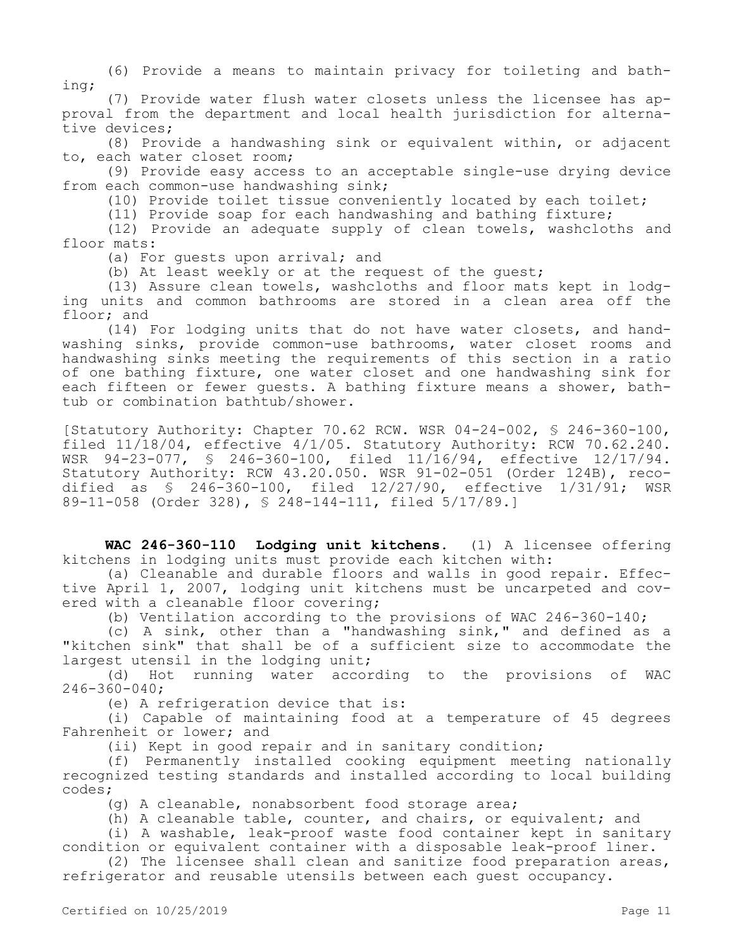(6) Provide a means to maintain privacy for toileting and bathing;

(7) Provide water flush water closets unless the licensee has approval from the department and local health jurisdiction for alternative devices;

(8) Provide a handwashing sink or equivalent within, or adjacent to, each water closet room;

(9) Provide easy access to an acceptable single-use drying device from each common-use handwashing sink;

(10) Provide toilet tissue conveniently located by each toilet;

(11) Provide soap for each handwashing and bathing fixture;

(12) Provide an adequate supply of clean towels, washcloths and floor mats:

(a) For guests upon arrival; and

(b) At least weekly or at the request of the guest;

(13) Assure clean towels, washcloths and floor mats kept in lodging units and common bathrooms are stored in a clean area off the floor; and

(14) For lodging units that do not have water closets, and handwashing sinks, provide common-use bathrooms, water closet rooms and handwashing sinks meeting the requirements of this section in a ratio of one bathing fixture, one water closet and one handwashing sink for each fifteen or fewer guests. A bathing fixture means a shower, bathtub or combination bathtub/shower.

[Statutory Authority: Chapter 70.62 RCW. WSR 04-24-002, § 246-360-100, filed 11/18/04, effective 4/1/05. Statutory Authority: RCW 70.62.240. WSR 94-23-077, § 246-360-100, filed 11/16/94, effective 12/17/94. Statutory Authority: RCW 43.20.050. WSR 91-02-051 (Order 124B), recodified as § 246-360-100, filed 12/27/90, effective 1/31/91; WSR 89-11-058 (Order 328), § 248-144-111, filed 5/17/89.]

**WAC 246-360-110 Lodging unit kitchens.** (1) A licensee offering kitchens in lodging units must provide each kitchen with:

(a) Cleanable and durable floors and walls in good repair. Effective April 1, 2007, lodging unit kitchens must be uncarpeted and covered with a cleanable floor covering;

(b) Ventilation according to the provisions of WAC 246-360-140;

(c) A sink, other than a "handwashing sink," and defined as a "kitchen sink" that shall be of a sufficient size to accommodate the largest utensil in the lodging unit;

(d) Hot running water according to the provisions of WAC 246-360-040;

(e) A refrigeration device that is:

(i) Capable of maintaining food at a temperature of 45 degrees Fahrenheit or lower; and

(ii) Kept in good repair and in sanitary condition;

(f) Permanently installed cooking equipment meeting nationally recognized testing standards and installed according to local building codes;

(g) A cleanable, nonabsorbent food storage area;

(h) A cleanable table, counter, and chairs, or equivalent; and

(i) A washable, leak-proof waste food container kept in sanitary condition or equivalent container with a disposable leak-proof liner.

(2) The licensee shall clean and sanitize food preparation areas, refrigerator and reusable utensils between each guest occupancy.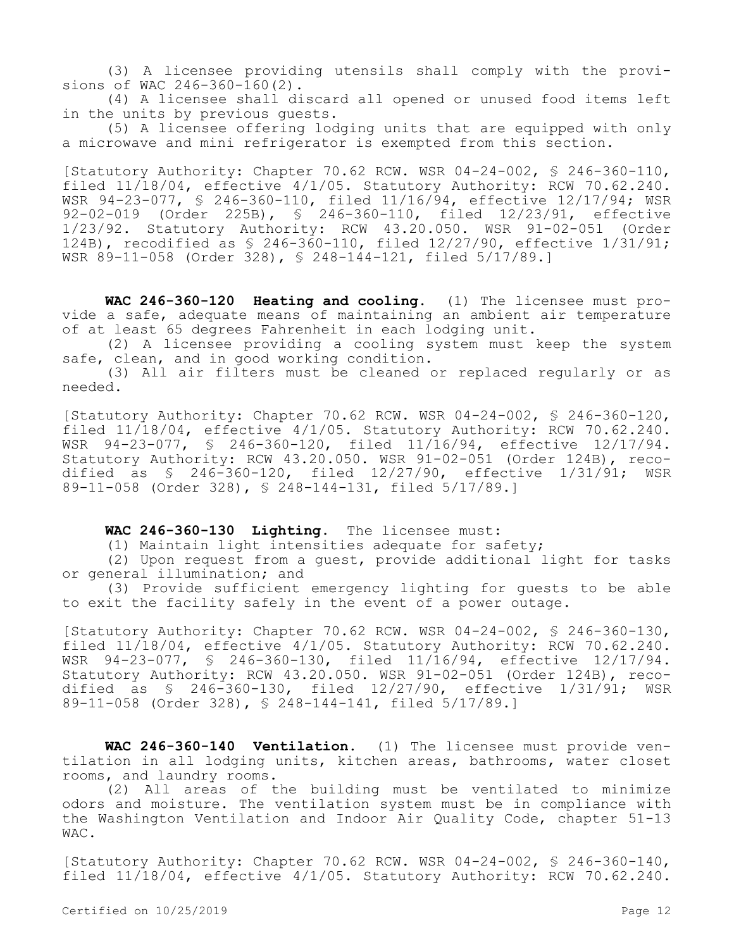(3) A licensee providing utensils shall comply with the provisions of WAC 246-360-160(2).

(4) A licensee shall discard all opened or unused food items left in the units by previous guests.

(5) A licensee offering lodging units that are equipped with only a microwave and mini refrigerator is exempted from this section.

[Statutory Authority: Chapter 70.62 RCW. WSR 04-24-002, § 246-360-110, filed 11/18/04, effective 4/1/05. Statutory Authority: RCW 70.62.240. WSR 94-23-077, § 246-360-110, filed 11/16/94, effective 12/17/94; WSR 92-02-019 (Order 225B), § 246-360-110, filed 12/23/91, effective 1/23/92. Statutory Authority: RCW 43.20.050. WSR 91-02-051 (Order 124B), recodified as § 246-360-110, filed 12/27/90, effective 1/31/91; WSR 89-11-058 (Order 328), § 248-144-121, filed 5/17/89.]

**WAC 246-360-120 Heating and cooling.** (1) The licensee must provide a safe, adequate means of maintaining an ambient air temperature of at least 65 degrees Fahrenheit in each lodging unit.

(2) A licensee providing a cooling system must keep the system safe, clean, and in good working condition.

(3) All air filters must be cleaned or replaced regularly or as needed.

[Statutory Authority: Chapter 70.62 RCW. WSR 04-24-002, § 246-360-120, filed 11/18/04, effective 4/1/05. Statutory Authority: RCW 70.62.240. WSR 94-23-077, § 246-360-120, filed 11/16/94, effective 12/17/94. Statutory Authority: RCW 43.20.050. WSR 91-02-051 (Order 124B), recodified as § 246-360-120, filed 12/27/90, effective 1/31/91; WSR 89-11-058 (Order 328), § 248-144-131, filed 5/17/89.]

## **WAC 246-360-130 Lighting.** The licensee must:

(1) Maintain light intensities adequate for safety;

(2) Upon request from a guest, provide additional light for tasks or general illumination; and

(3) Provide sufficient emergency lighting for guests to be able to exit the facility safely in the event of a power outage.

[Statutory Authority: Chapter 70.62 RCW. WSR 04-24-002, § 246-360-130, filed 11/18/04, effective 4/1/05. Statutory Authority: RCW 70.62.240. WSR 94-23-077, § 246-360-130, filed 11/16/94, effective 12/17/94. Statutory Authority: RCW 43.20.050. WSR 91-02-051 (Order 124B), recodified as § 246-360-130, filed 12/27/90, effective 1/31/91; WSR 89-11-058 (Order 328), § 248-144-141, filed 5/17/89.]

**WAC 246-360-140 Ventilation.** (1) The licensee must provide ventilation in all lodging units, kitchen areas, bathrooms, water closet rooms, and laundry rooms.

(2) All areas of the building must be ventilated to minimize odors and moisture. The ventilation system must be in compliance with the Washington Ventilation and Indoor Air Quality Code, chapter 51-13 WAC.

[Statutory Authority: Chapter 70.62 RCW. WSR 04-24-002, § 246-360-140, filed 11/18/04, effective 4/1/05. Statutory Authority: RCW 70.62.240.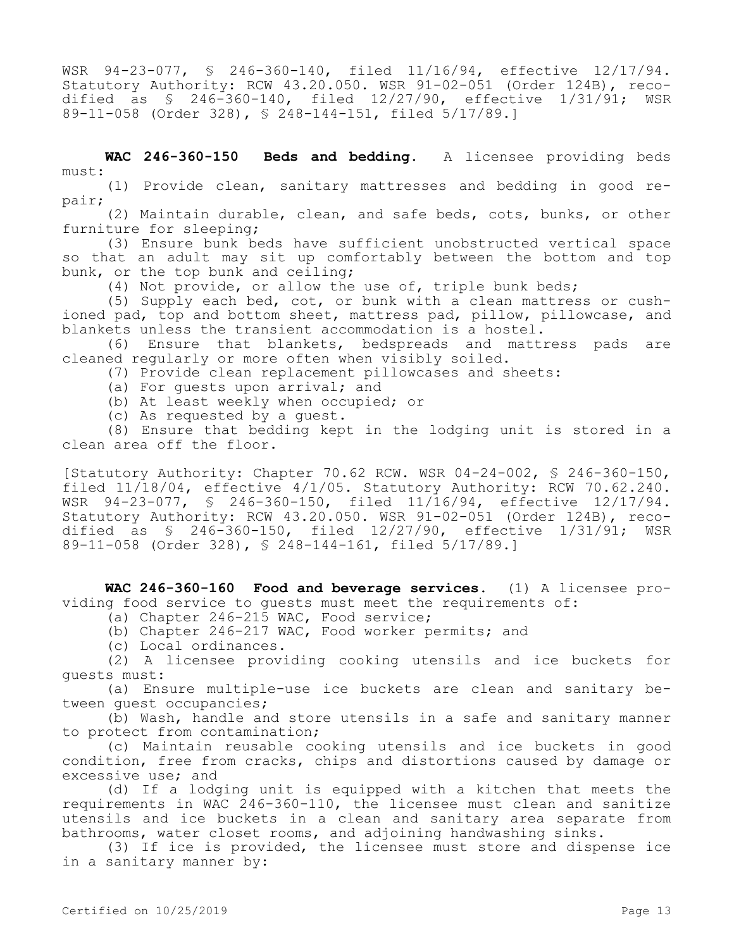WSR 94-23-077, § 246-360-140, filed 11/16/94, effective 12/17/94. Statutory Authority: RCW 43.20.050. WSR 91-02-051 (Order 124B), recodified as § 246-360-140, filed 12/27/90, effective 1/31/91; WSR 89-11-058 (Order 328), § 248-144-151, filed 5/17/89.]

**WAC 246-360-150 Beds and bedding.** A licensee providing beds must:

(1) Provide clean, sanitary mattresses and bedding in good repair;

(2) Maintain durable, clean, and safe beds, cots, bunks, or other furniture for sleeping;

(3) Ensure bunk beds have sufficient unobstructed vertical space so that an adult may sit up comfortably between the bottom and top bunk, or the top bunk and ceiling;

(4) Not provide, or allow the use of, triple bunk beds;

(5) Supply each bed, cot, or bunk with a clean mattress or cushioned pad, top and bottom sheet, mattress pad, pillow, pillowcase, and blankets unless the transient accommodation is a hostel.

(6) Ensure that blankets, bedspreads and mattress pads are cleaned regularly or more often when visibly soiled.

(7) Provide clean replacement pillowcases and sheets:

(a) For guests upon arrival; and

(b) At least weekly when occupied; or

(c) As requested by a guest.

(8) Ensure that bedding kept in the lodging unit is stored in a clean area off the floor.

[Statutory Authority: Chapter 70.62 RCW. WSR 04-24-002, § 246-360-150, filed 11/18/04, effective 4/1/05. Statutory Authority: RCW 70.62.240. WSR 94-23-077, § 246-360-150, filed 11/16/94, effective 12/17/94. Statutory Authority: RCW 43.20.050. WSR 91-02-051 (Order 124B), recodified as § 246-360-150, filed 12/27/90, effective 1/31/91; WSR 89-11-058 (Order 328), § 248-144-161, filed 5/17/89.]

**WAC 246-360-160 Food and beverage services.** (1) A licensee providing food service to guests must meet the requirements of:

(a) Chapter 246-215 WAC, Food service;

(b) Chapter 246-217 WAC, Food worker permits; and

(c) Local ordinances.

(2) A licensee providing cooking utensils and ice buckets for guests must:

(a) Ensure multiple-use ice buckets are clean and sanitary between guest occupancies;

(b) Wash, handle and store utensils in a safe and sanitary manner to protect from contamination;

(c) Maintain reusable cooking utensils and ice buckets in good condition, free from cracks, chips and distortions caused by damage or excessive use; and

(d) If a lodging unit is equipped with a kitchen that meets the requirements in WAC 246-360-110, the licensee must clean and sanitize utensils and ice buckets in a clean and sanitary area separate from bathrooms, water closet rooms, and adjoining handwashing sinks.

(3) If ice is provided, the licensee must store and dispense ice in a sanitary manner by: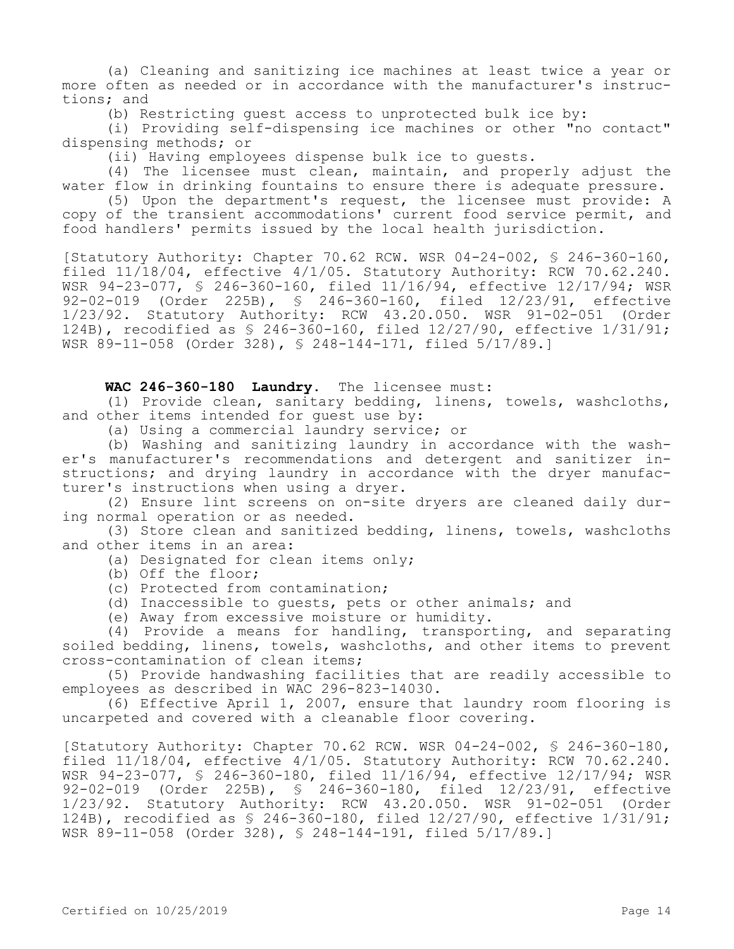(a) Cleaning and sanitizing ice machines at least twice a year or more often as needed or in accordance with the manufacturer's instructions; and

(b) Restricting guest access to unprotected bulk ice by:

(i) Providing self-dispensing ice machines or other "no contact" dispensing methods; or

(ii) Having employees dispense bulk ice to guests.

(4) The licensee must clean, maintain, and properly adjust the water flow in drinking fountains to ensure there is adequate pressure.

(5) Upon the department's request, the licensee must provide: A copy of the transient accommodations' current food service permit, and food handlers' permits issued by the local health jurisdiction.

[Statutory Authority: Chapter 70.62 RCW. WSR 04-24-002, § 246-360-160, filed 11/18/04, effective 4/1/05. Statutory Authority: RCW 70.62.240. WSR 94-23-077, § 246-360-160, filed 11/16/94, effective 12/17/94; WSR 92-02-019 (Order 225B), § 246-360-160, filed 12/23/91, effective 1/23/92. Statutory Authority: RCW 43.20.050. WSR 91-02-051 (Order 124B), recodified as § 246-360-160, filed 12/27/90, effective 1/31/91; WSR 89-11-058 (Order 328), § 248-144-171, filed 5/17/89.]

## **WAC 246-360-180 Laundry.** The licensee must:

(1) Provide clean, sanitary bedding, linens, towels, washcloths, and other items intended for quest use by:

(a) Using a commercial laundry service; or

(b) Washing and sanitizing laundry in accordance with the washer's manufacturer's recommendations and detergent and sanitizer instructions; and drying laundry in accordance with the dryer manufacturer's instructions when using a dryer.

(2) Ensure lint screens on on-site dryers are cleaned daily during normal operation or as needed.

(3) Store clean and sanitized bedding, linens, towels, washcloths and other items in an area:

(a) Designated for clean items only;

(b) Off the floor;

(c) Protected from contamination;

(d) Inaccessible to guests, pets or other animals; and

(e) Away from excessive moisture or humidity.

(4) Provide a means for handling, transporting, and separating soiled bedding, linens, towels, washcloths, and other items to prevent cross-contamination of clean items;

(5) Provide handwashing facilities that are readily accessible to employees as described in WAC 296-823-14030.

(6) Effective April 1, 2007, ensure that laundry room flooring is uncarpeted and covered with a cleanable floor covering.

[Statutory Authority: Chapter 70.62 RCW. WSR 04-24-002, § 246-360-180, filed 11/18/04, effective 4/1/05. Statutory Authority: RCW 70.62.240. WSR 94-23-077, § 246-360-180, filed 11/16/94, effective 12/17/94; WSR 92-02-019 (Order 225B), § 246-360-180, filed 12/23/91, effective 1/23/92. Statutory Authority: RCW 43.20.050. WSR 91-02-051 (Order 124B), recodified as § 246-360-180, filed 12/27/90, effective 1/31/91; WSR 89-11-058 (Order 328), § 248-144-191, filed 5/17/89.]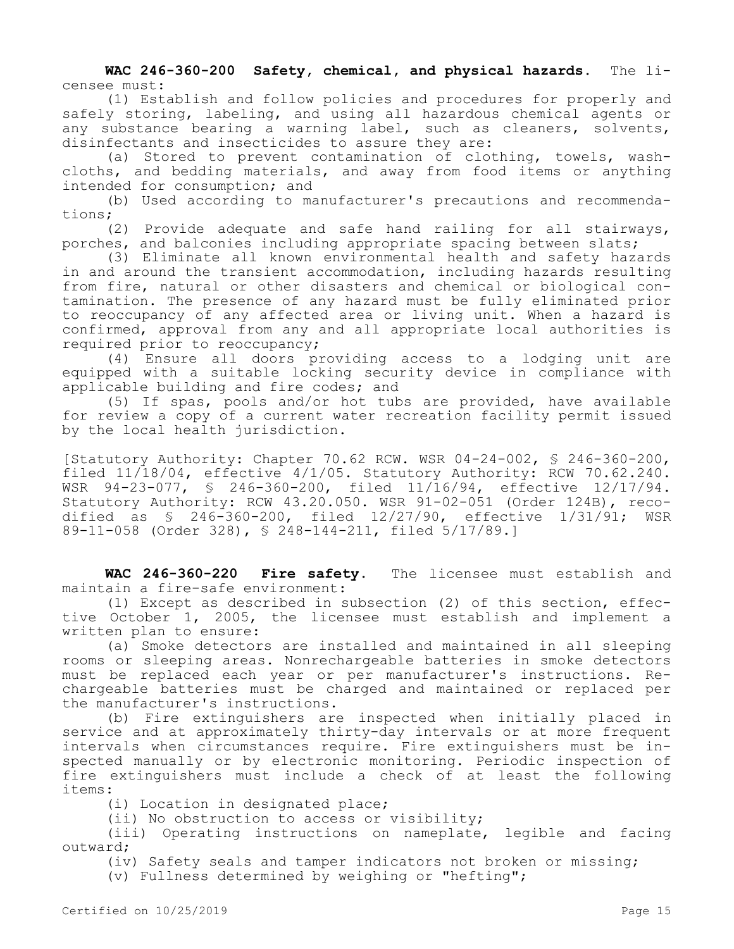**WAC 246-360-200 Safety, chemical, and physical hazards.** The licensee must:

(1) Establish and follow policies and procedures for properly and safely storing, labeling, and using all hazardous chemical agents or any substance bearing a warning label, such as cleaners, solvents, disinfectants and insecticides to assure they are:

(a) Stored to prevent contamination of clothing, towels, washcloths, and bedding materials, and away from food items or anything intended for consumption; and

(b) Used according to manufacturer's precautions and recommendations;

(2) Provide adequate and safe hand railing for all stairways, porches, and balconies including appropriate spacing between slats;

(3) Eliminate all known environmental health and safety hazards in and around the transient accommodation, including hazards resulting from fire, natural or other disasters and chemical or biological contamination. The presence of any hazard must be fully eliminated prior to reoccupancy of any affected area or living unit. When a hazard is confirmed, approval from any and all appropriate local authorities is required prior to reoccupancy;

(4) Ensure all doors providing access to a lodging unit are equipped with a suitable locking security device in compliance with applicable building and fire codes; and

(5) If spas, pools and/or hot tubs are provided, have available for review a copy of a current water recreation facility permit issued by the local health jurisdiction.

[Statutory Authority: Chapter 70.62 RCW. WSR 04-24-002, § 246-360-200, filed 11/18/04, effective 4/1/05. Statutory Authority: RCW 70.62.240. WSR 94-23-077, § 246-360-200, filed 11/16/94, effective 12/17/94. Statutory Authority: RCW 43.20.050. WSR 91-02-051 (Order 124B), recodified as § 246-360-200, filed 12/27/90, effective 1/31/91; WSR 89-11-058 (Order 328), § 248-144-211, filed 5/17/89.]

**WAC 246-360-220 Fire safety.** The licensee must establish and maintain a fire-safe environment:

(1) Except as described in subsection (2) of this section, effective October 1, 2005, the licensee must establish and implement a written plan to ensure:

(a) Smoke detectors are installed and maintained in all sleeping rooms or sleeping areas. Nonrechargeable batteries in smoke detectors must be replaced each year or per manufacturer's instructions. Rechargeable batteries must be charged and maintained or replaced per the manufacturer's instructions.

(b) Fire extinguishers are inspected when initially placed in service and at approximately thirty-day intervals or at more frequent intervals when circumstances require. Fire extinguishers must be inspected manually or by electronic monitoring. Periodic inspection of fire extinguishers must include a check of at least the following items:

(i) Location in designated place;

(ii) No obstruction to access or visibility;

(iii) Operating instructions on nameplate, legible and facing outward;

(iv) Safety seals and tamper indicators not broken or missing;

(v) Fullness determined by weighing or "hefting";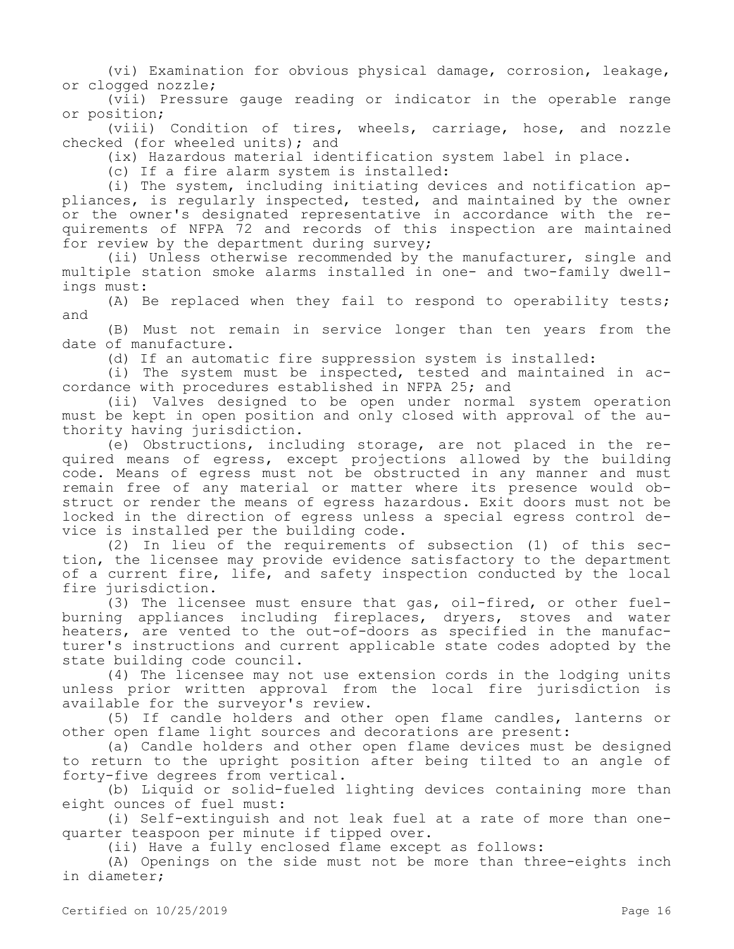(vi) Examination for obvious physical damage, corrosion, leakage, or clogged nozzle;

(vii) Pressure gauge reading or indicator in the operable range or position;

(viii) Condition of tires, wheels, carriage, hose, and nozzle checked (for wheeled units); and

(ix) Hazardous material identification system label in place.

(c) If a fire alarm system is installed:

(i) The system, including initiating devices and notification appliances, is regularly inspected, tested, and maintained by the owner or the owner's designated representative in accordance with the requirements of NFPA 72 and records of this inspection are maintained for review by the department during survey;

(ii) Unless otherwise recommended by the manufacturer, single and multiple station smoke alarms installed in one- and two-family dwellings must:

(A) Be replaced when they fail to respond to operability tests; and

(B) Must not remain in service longer than ten years from the date of manufacture.

(d) If an automatic fire suppression system is installed:

(i) The system must be inspected, tested and maintained in accordance with procedures established in NFPA 25; and

(ii) Valves designed to be open under normal system operation must be kept in open position and only closed with approval of the authority having jurisdiction.

(e) Obstructions, including storage, are not placed in the required means of egress, except projections allowed by the building code. Means of egress must not be obstructed in any manner and must remain free of any material or matter where its presence would obstruct or render the means of egress hazardous. Exit doors must not be locked in the direction of egress unless a special egress control device is installed per the building code.

(2) In lieu of the requirements of subsection (1) of this section, the licensee may provide evidence satisfactory to the department of a current fire, life, and safety inspection conducted by the local fire jurisdiction.

(3) The licensee must ensure that gas, oil-fired, or other fuelburning appliances including fireplaces, dryers, stoves and water heaters, are vented to the out-of-doors as specified in the manufacturer's instructions and current applicable state codes adopted by the state building code council.

(4) The licensee may not use extension cords in the lodging units unless prior written approval from the local fire jurisdiction is available for the surveyor's review.

(5) If candle holders and other open flame candles, lanterns or other open flame light sources and decorations are present:

(a) Candle holders and other open flame devices must be designed to return to the upright position after being tilted to an angle of forty-five degrees from vertical.

(b) Liquid or solid-fueled lighting devices containing more than eight ounces of fuel must:

(i) Self-extinguish and not leak fuel at a rate of more than onequarter teaspoon per minute if tipped over.

(ii) Have a fully enclosed flame except as follows:

(A) Openings on the side must not be more than three-eights inch in diameter;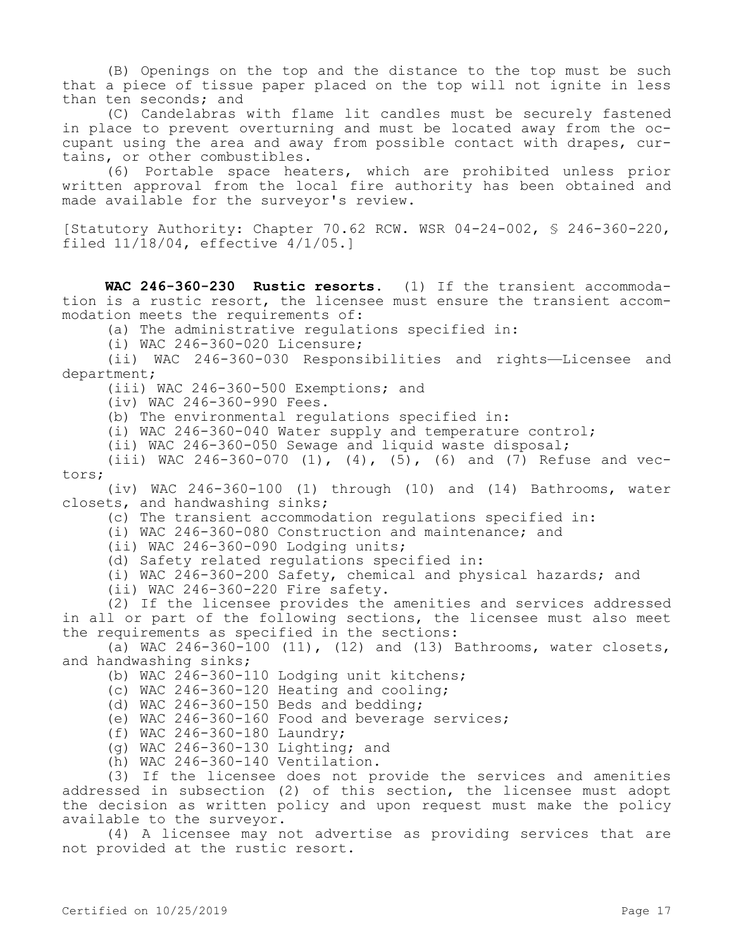(B) Openings on the top and the distance to the top must be such that a piece of tissue paper placed on the top will not ignite in less than ten seconds; and

(C) Candelabras with flame lit candles must be securely fastened in place to prevent overturning and must be located away from the occupant using the area and away from possible contact with drapes, curtains, or other combustibles.

(6) Portable space heaters, which are prohibited unless prior written approval from the local fire authority has been obtained and made available for the surveyor's review.

[Statutory Authority: Chapter 70.62 RCW. WSR 04-24-002, § 246-360-220, filed 11/18/04, effective 4/1/05.]

**WAC 246-360-230 Rustic resorts.** (1) If the transient accommodation is a rustic resort, the licensee must ensure the transient accommodation meets the requirements of:

(a) The administrative regulations specified in:

(i) WAC 246-360-020 Licensure;

(ii) WAC 246-360-030 Responsibilities and rights—Licensee and department;

(iii) WAC 246-360-500 Exemptions; and

(iv) WAC 246-360-990 Fees.

(b) The environmental regulations specified in:

(i) WAC 246-360-040 Water supply and temperature control;

(ii) WAC 246-360-050 Sewage and liquid waste disposal;

(iii) WAC 246-360-070 (1), (4), (5), (6) and (7) Refuse and vectors;

(iv) WAC 246-360-100 (1) through (10) and (14) Bathrooms, water closets, and handwashing sinks;

(c) The transient accommodation regulations specified in:

(i) WAC 246-360-080 Construction and maintenance; and

- (ii) WAC 246-360-090 Lodging units;
- (d) Safety related regulations specified in:
- (i) WAC 246-360-200 Safety, chemical and physical hazards; and
- (ii) WAC 246-360-220 Fire safety.

(2) If the licensee provides the amenities and services addressed in all or part of the following sections, the licensee must also meet the requirements as specified in the sections:

(a) WAC  $246-360-100$  (11), (12) and (13) Bathrooms, water closets, and handwashing sinks;

(b) WAC 246-360-110 Lodging unit kitchens;

(c) WAC 246-360-120 Heating and cooling;

(d) WAC 246-360-150 Beds and bedding;

(e) WAC 246-360-160 Food and beverage services;

(f) WAC 246-360-180 Laundry;

- (g) WAC 246-360-130 Lighting; and
- (h) WAC 246-360-140 Ventilation.

(3) If the licensee does not provide the services and amenities addressed in subsection (2) of this section, the licensee must adopt the decision as written policy and upon request must make the policy available to the surveyor.

(4) A licensee may not advertise as providing services that are not provided at the rustic resort.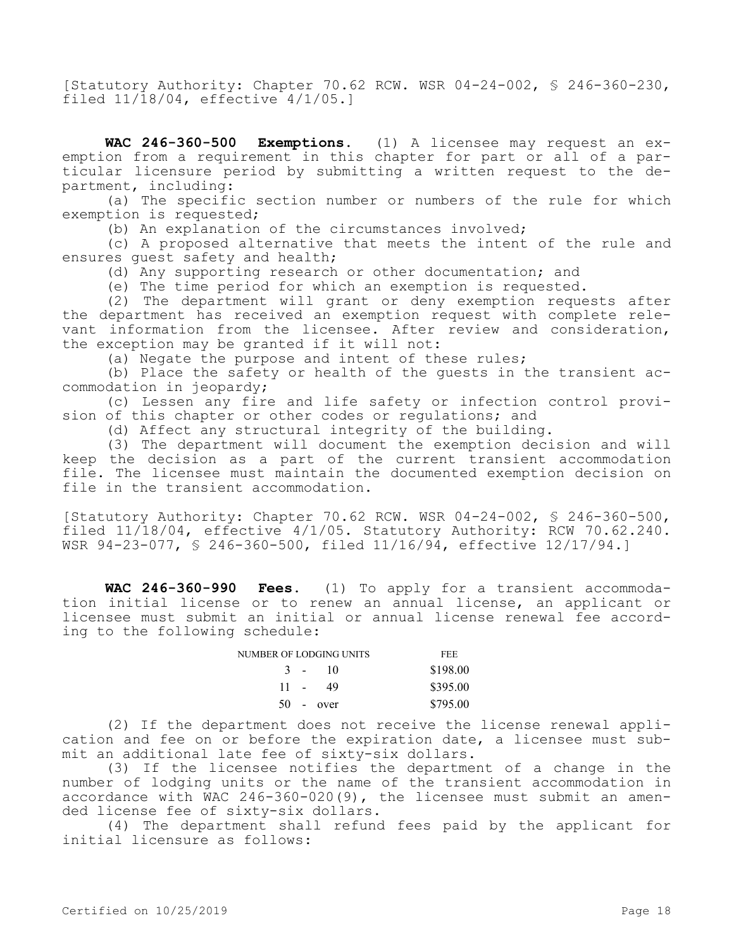[Statutory Authority: Chapter 70.62 RCW. WSR 04-24-002, § 246-360-230, filed  $11/\overline{18}/04$ , effective  $4/1/05$ .

**WAC 246-360-500 Exemptions.** (1) A licensee may request an exemption from a requirement in this chapter for part or all of a particular licensure period by submitting a written request to the department, including:

(a) The specific section number or numbers of the rule for which exemption is requested;

(b) An explanation of the circumstances involved;

(c) A proposed alternative that meets the intent of the rule and ensures guest safety and health;

(d) Any supporting research or other documentation; and

(e) The time period for which an exemption is requested.

(2) The department will grant or deny exemption requests after the department has received an exemption request with complete relevant information from the licensee. After review and consideration, the exception may be granted if it will not:

(a) Negate the purpose and intent of these rules;

(b) Place the safety or health of the guests in the transient accommodation in jeopardy;

(c) Lessen any fire and life safety or infection control provision of this chapter or other codes or regulations; and

(d) Affect any structural integrity of the building.

(3) The department will document the exemption decision and will keep the decision as a part of the current transient accommodation file. The licensee must maintain the documented exemption decision on file in the transient accommodation.

[Statutory Authority: Chapter 70.62 RCW. WSR 04-24-002, § 246-360-500, filed 11/18/04, effective 4/1/05. Statutory Authority: RCW 70.62.240. WSR 94-23-077, § 246-360-500, filed 11/16/94, effective 12/17/94.]

**WAC 246-360-990 Fees.** (1) To apply for a transient accommodation initial license or to renew an annual license, an applicant or licensee must submit an initial or annual license renewal fee according to the following schedule:

| NUMBER OF LODGING UNITS |  |             | FEE.     |
|-------------------------|--|-------------|----------|
|                         |  | $3 - 10$    | \$198.00 |
|                         |  | $11 - 49$   | \$395.00 |
|                         |  | $50 - over$ | \$795.00 |

(2) If the department does not receive the license renewal application and fee on or before the expiration date, a licensee must submit an additional late fee of sixty-six dollars.

(3) If the licensee notifies the department of a change in the number of lodging units or the name of the transient accommodation in accordance with WAC 246-360-020(9), the licensee must submit an amended license fee of sixty-six dollars.

(4) The department shall refund fees paid by the applicant for initial licensure as follows: